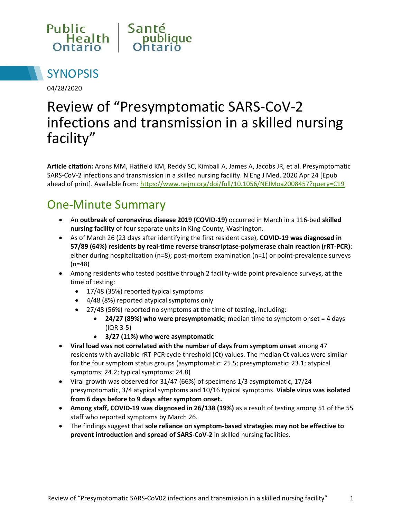



04/28/2020

# Review of "Presymptomatic SARS-CoV-2 infections and transmission in a skilled nursing facility"

**Article citation:** Arons MM, Hatfield KM, Reddy SC, Kimball A, James A, Jacobs JR, et al. Presymptomatic SARS-CoV-2 infections and transmission in a skilled nursing facility. N Eng J Med. 2020 Apr 24 [Epub ahead of print]. Available from:<https://www.nejm.org/doi/full/10.1056/NEJMoa2008457?query=C19>

# One-Minute Summary

- An **outbreak of coronavirus disease 2019 (COVID-19)** occurred in March in a 116-bed **skilled nursing facility** of four separate units in King County, Washington.
- As of March 26 (23 days after identifying the first resident case), **COVID-19 was diagnosed in 57/89 (64%) residents by real-time reverse transcriptase-polymerase chain reaction (rRT-PCR)**: either during hospitalization (n=8); post-mortem examination (n=1) or point-prevalence surveys (n=48)
- Among residents who tested positive through 2 facility-wide point prevalence surveys, at the time of testing:
	- 17/48 (35%) reported typical symptoms
	- 4/48 (8%) reported atypical symptoms only
	- 27/48 (56%) reported no symptoms at the time of testing, including:
		- **24/27 (89%) who were presymptomatic;** median time to symptom onset = 4 days (IQR 3-5)
		- **3/27 (11%) who were asymptomatic**
- **Viral load was not correlated with the number of days from symptom onset** among 47 residents with available rRT-PCR cycle threshold (Ct) values. The median Ct values were similar for the four symptom status groups (asymptomatic: 25.5; presymptomatic: 23.1; atypical symptoms: 24.2; typical symptoms: 24.8)
- Viral growth was observed for 31/47 (66%) of specimens 1/3 asymptomatic, 17/24 presymptomatic, 3/4 atypical symptoms and 10/16 typical symptoms. **Viable virus was isolated from 6 days before to 9 days after symptom onset.**
- **Among staff, COVID-19 was diagnosed in 26/138 (19%)** as a result of testing among 51 of the 55 staff who reported symptoms by March 26.
- The findings suggest that **sole reliance on symptom-based strategies may not be effective to prevent introduction and spread of SARS-CoV-2** in skilled nursing facilities.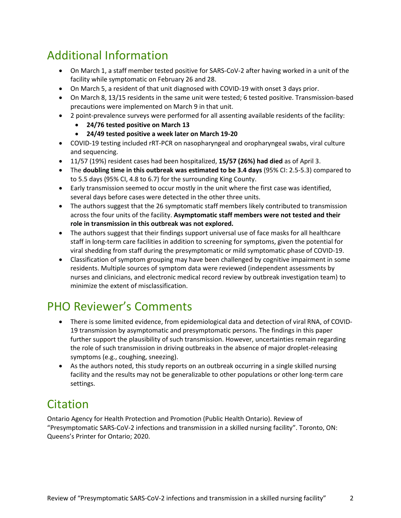# Additional Information

- On March 1, a staff member tested positive for SARS-CoV-2 after having worked in a unit of the facility while symptomatic on February 26 and 28.
- On March 5, a resident of that unit diagnosed with COVID-19 with onset 3 days prior.
- On March 8, 13/15 residents in the same unit were tested; 6 tested positive. Transmission-based precautions were implemented on March 9 in that unit.
- 2 point-prevalence surveys were performed for all assenting available residents of the facility:
	- **24/76 tested positive on March 13**
	- **24/49 tested positive a week later on March 19-20**
- COVID-19 testing included rRT-PCR on nasopharyngeal and oropharyngeal swabs, viral culture and sequencing.
- 11/57 (19%) resident cases had been hospitalized, **15/57 (26%) had died** as of April 3.
- The **doubling time in this outbreak was estimated to be 3.4 days** (95% CI: 2.5-5.3) compared to to 5.5 days (95% CI, 4.8 to 6.7) for the surrounding King County.
- Early transmission seemed to occur mostly in the unit where the first case was identified, several days before cases were detected in the other three units.
- The authors suggest that the 26 symptomatic staff members likely contributed to transmission across the four units of the facility. **Asymptomatic staff members were not tested and their role in transmission in this outbreak was not explored.**
- The authors suggest that their findings support universal use of face masks for all healthcare staff in long-term care facilities in addition to screening for symptoms, given the potential for viral shedding from staff during the presymptomatic or mild symptomatic phase of COVID-19.
- Classification of symptom grouping may have been challenged by cognitive impairment in some residents. Multiple sources of symptom data were reviewed (independent assessments by nurses and clinicians, and electronic medical record review by outbreak investigation team) to minimize the extent of misclassification.

## PHO Reviewer's Comments

- There is some limited evidence, from epidemiological data and detection of viral RNA, of COVID-19 transmission by asymptomatic and presymptomatic persons. The findings in this paper further support the plausibility of such transmission. However, uncertainties remain regarding the role of such transmission in driving outbreaks in the absence of major droplet-releasing symptoms (e.g., coughing, sneezing).
- As the authors noted, this study reports on an outbreak occurring in a single skilled nursing facility and the results may not be generalizable to other populations or other long-term care settings.

## Citation

Ontario Agency for Health Protection and Promotion (Public Health Ontario). Review of "Presymptomatic SARS-CoV-2 infections and transmission in a skilled nursing facility". Toronto, ON: Queens's Printer for Ontario; 2020.